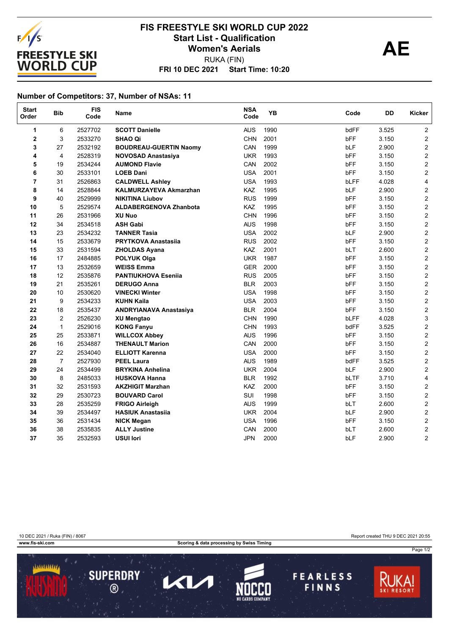

## **FRI 10 DEC 2021 Start Time: 10:20 FIS FREESTYLE SKI WORLD CUP 2022** Start List - Qualification<br>
Women's Aerials **AE** RUKA (FIN) **Women's Aerials**

## **Number of Competitors: 37, Number of NSAs: 11**

| <b>Start</b><br>Order | <b>Bib</b>     | <b>FIS</b><br>Code | Name                          | <b>NSA</b><br>Code | <b>YB</b> | Code       | DD    | Kicker                  |
|-----------------------|----------------|--------------------|-------------------------------|--------------------|-----------|------------|-------|-------------------------|
| 1                     | 6              | 2527702            | <b>SCOTT Danielle</b>         | <b>AUS</b>         | 1990      | bdFF       | 3.525 | $\overline{2}$          |
| 2                     | 3              | 2533270            | <b>SHAO Qi</b>                | <b>CHN</b>         | 2001      | bFF        | 3.150 | $\overline{2}$          |
| 3                     | 27             | 2532192            | <b>BOUDREAU-GUERTIN Naomy</b> | CAN                | 1999      | bLF        | 2.900 | $\overline{2}$          |
| 4                     | $\overline{4}$ | 2528319            | <b>NOVOSAD Anastasiya</b>     | <b>UKR</b>         | 1993      | bFF        | 3.150 | $\overline{2}$          |
| 5                     | 19             | 2534244            | <b>AUMOND Flavie</b>          | CAN                | 2002      | <b>bFF</b> | 3.150 | $\mathbf 2$             |
| 6                     | 30             | 2533101            | <b>LOEB Dani</b>              | <b>USA</b>         | 2001      | <b>bFF</b> | 3.150 | $\overline{\mathbf{c}}$ |
| 7                     | 31             | 2526863            | <b>CALDWELL Ashley</b>        | <b>USA</b>         | 1993      | bLFF       | 4.028 | 4                       |
| 8                     | 14             | 2528844            | <b>KALMURZAYEVA Akmarzhan</b> | KAZ                | 1995      | bLF        | 2.900 | $\overline{c}$          |
| 9                     | 40             | 2529999            | <b>NIKITINA Liubov</b>        | <b>RUS</b>         | 1999      | bFF        | 3.150 | $\overline{2}$          |
| 10                    | 5              | 2529574            | <b>ALDABERGENOVA Zhanbota</b> | KAZ                | 1995      | bFF        | 3.150 | $\overline{2}$          |
| 11                    | 26             | 2531966            | <b>XU Nuo</b>                 | <b>CHN</b>         | 1996      | bFF        | 3.150 | $\overline{2}$          |
| 12                    | 34             | 2534518            | <b>ASH Gabi</b>               | <b>AUS</b>         | 1998      | bFF        | 3.150 | $\overline{2}$          |
| 13                    | 23             | 2534232            | <b>TANNER Tasia</b>           | <b>USA</b>         | 2002      | bLF        | 2.900 | $\overline{2}$          |
| 14                    | 15             | 2533679            | <b>PRYTKOVA Anastasija</b>    | <b>RUS</b>         | 2002      | bFF        | 3.150 | $\mathbf 2$             |
| 15                    | 33             | 2531594            | <b>ZHOLDAS Ayana</b>          | KAZ                | 2001      | <b>bLT</b> | 2.600 | $\overline{\mathbf{c}}$ |
| 16                    | 17             | 2484885            | <b>POLYUK Olga</b>            | <b>UKR</b>         | 1987      | bFF        | 3.150 | $\overline{c}$          |
| 17                    | 13             | 2532659            | <b>WEISS Emma</b>             | <b>GER</b>         | 2000      | bFF        | 3.150 | $\overline{a}$          |
| 18                    | 12             | 2535876            | <b>PANTIUKHOVA Esenija</b>    | <b>RUS</b>         | 2005      | bFF        | 3.150 | $\overline{2}$          |
| 19                    | 21             | 2535261            | <b>DERUGO Anna</b>            | <b>BLR</b>         | 2003      | bFF        | 3.150 | $\overline{2}$          |
| 20                    | 10             | 2530620            | <b>VINECKI Winter</b>         | <b>USA</b>         | 1998      | bFF        | 3.150 | $\overline{2}$          |
| 21                    | 9              | 2534233            | <b>KUHN Kaila</b>             | <b>USA</b>         | 2003      | bFF        | 3.150 | $\overline{2}$          |
| 22                    | 18             | 2535437            | <b>ANDRYIANAVA Anastasiya</b> | <b>BLR</b>         | 2004      | bFF        | 3.150 | $\overline{2}$          |
| 23                    | $\overline{2}$ | 2526230            | <b>XU Mengtao</b>             | <b>CHN</b>         | 1990      | bLFF       | 4.028 | 3                       |
| 24                    | $\mathbf{1}$   | 2529016            | <b>KONG Fanyu</b>             | <b>CHN</b>         | 1993      | bdFF       | 3.525 | $\overline{\mathbf{c}}$ |
| 25                    | 25             | 2533871            | <b>WILLCOX Abbey</b>          | <b>AUS</b>         | 1996      | bFF        | 3.150 | 2                       |
| 26                    | 16             | 2534887            | <b>THENAULT Marion</b>        | CAN                | 2000      | bFF        | 3.150 | $\mathbf 2$             |
| 27                    | 22             | 2534040            | <b>ELLIOTT Karenna</b>        | <b>USA</b>         | 2000      | bFF        | 3.150 | $\overline{2}$          |
| 28                    | $\overline{7}$ | 2527930            | <b>PEEL Laura</b>             | <b>AUS</b>         | 1989      | bdFF       | 3.525 | $\overline{c}$          |
| 29                    | 24             | 2534499            | <b>BRYKINA Anhelina</b>       | <b>UKR</b>         | 2004      | bLF        | 2.900 | $\overline{2}$          |
| 30                    | 8              | 2485033            | <b>HUSKOVA Hanna</b>          | <b>BLR</b>         | 1992      | bLTF       | 3.710 | 4                       |
| 31                    | 32             | 2531593            | <b>AKZHIGIT Marzhan</b>       | KAZ                | 2000      | bFF        | 3.150 | $\overline{c}$          |
| 32                    | 29             | 2530723            | <b>BOUVARD Carol</b>          | SUI                | 1998      | bFF        | 3.150 | $\overline{2}$          |
| 33                    | 28             | 2535259            | <b>FRIGO Airleigh</b>         | <b>AUS</b>         | 1999      | bLT        | 2.600 | $\overline{\mathbf{c}}$ |
| 34                    | 39             | 2534497            | <b>HASIUK Anastasiia</b>      | <b>UKR</b>         | 2004      | bLF        | 2.900 | $\overline{\mathbf{c}}$ |
| 35                    | 36             | 2531434            | <b>NICK Megan</b>             | <b>USA</b>         | 1996      | bFF        | 3.150 | $\overline{c}$          |
| 36                    | 38             | 2535835            | <b>ALLY Justine</b>           | CAN                | 2000      | bLT        | 2.600 | $\overline{\mathbf{c}}$ |
| 37                    | 35             | 2532593            | <b>USUI lori</b>              | <b>JPN</b>         | 2000      | bLF        | 2.900 | 2                       |

**WWW.fis-ski.com Scoring & data processing by Swiss Timing** 

10 DEC 2021 / Ruka (FIN) / 8067 Report created THU 9 DEC 2021 20:55